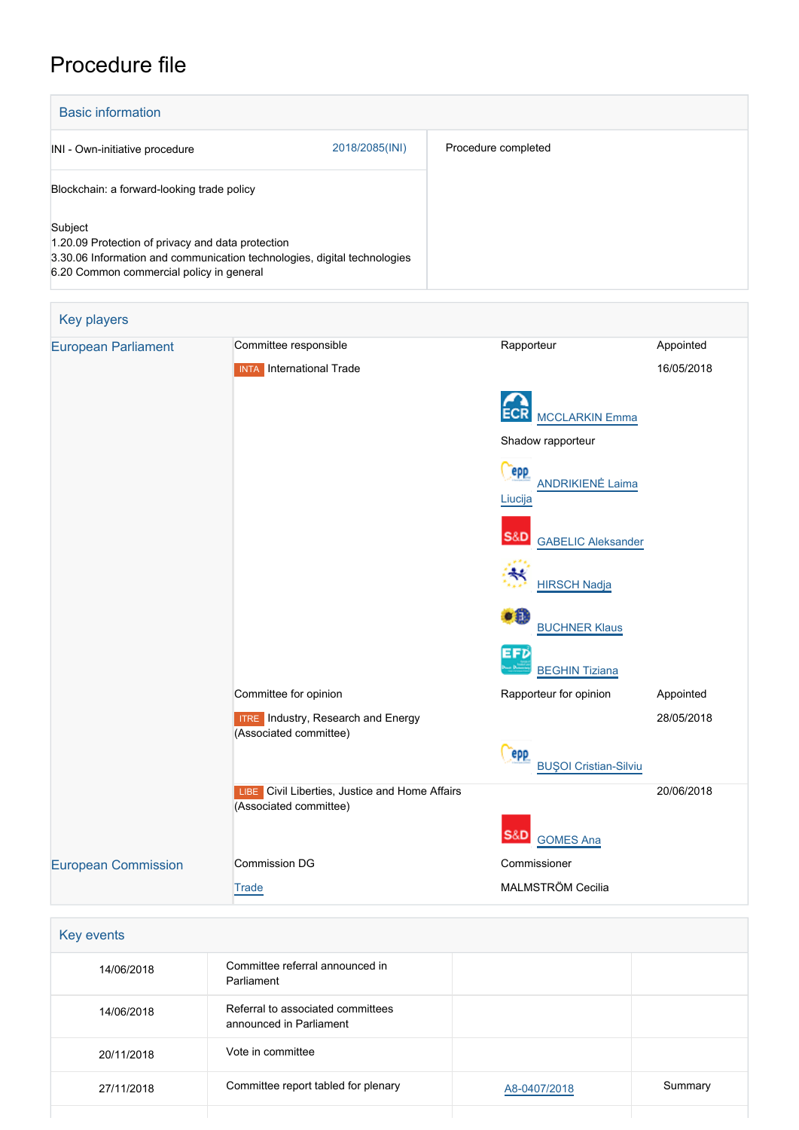# Procedure file

| <b>Basic information</b>                                                                                 |                                                                          |                                             |            |
|----------------------------------------------------------------------------------------------------------|--------------------------------------------------------------------------|---------------------------------------------|------------|
| INI - Own-initiative procedure                                                                           | 2018/2085(INI)                                                           | Procedure completed                         |            |
| Blockchain: a forward-looking trade policy                                                               |                                                                          |                                             |            |
| Subject<br>1.20.09 Protection of privacy and data protection<br>6.20 Common commercial policy in general | 3.30.06 Information and communication technologies, digital technologies |                                             |            |
| Key players                                                                                              |                                                                          |                                             |            |
| <b>European Parliament</b>                                                                               | Committee responsible                                                    | Rapporteur                                  | Appointed  |
|                                                                                                          | <b>INTA</b> International Trade                                          |                                             | 16/05/2018 |
|                                                                                                          |                                                                          | <b>MCCLARKIN Emma</b>                       |            |
|                                                                                                          |                                                                          | Shadow rapporteur                           |            |
|                                                                                                          |                                                                          | epp<br><b>ANDRIKIENĖ Laima</b><br>Liucija   |            |
|                                                                                                          |                                                                          | <b>S&amp;D</b><br><b>GABELIC Aleksander</b> |            |
|                                                                                                          |                                                                          | <b>HIRSCH Nadja</b>                         |            |
|                                                                                                          |                                                                          | Œ.<br><b>BUCHNER Klaus</b>                  |            |
|                                                                                                          |                                                                          | <b>BEGHIN Tiziana</b>                       |            |
|                                                                                                          | Committee for opinion                                                    | Rapporteur for opinion                      | Appointed  |
|                                                                                                          | <b>ITRE</b> Industry, Research and Energy<br>(Associated committee)      |                                             | 28/05/2018 |
|                                                                                                          |                                                                          | <b>PPP</b><br><b>BUŞOI Cristian-Silviu</b>  |            |
|                                                                                                          | LIBE Civil Liberties, Justice and Home Affairs                           |                                             | 20/06/2018 |
|                                                                                                          | (Associated committee)                                                   | <b>S&amp;D</b> GOMES Ana                    |            |
| <b>European Commission</b>                                                                               | <b>Commission DG</b>                                                     | Commissioner                                |            |
|                                                                                                          | <b>Trade</b>                                                             | MALMSTRÖM Cecilia                           |            |
|                                                                                                          |                                                                          |                                             |            |
| Key events                                                                                               |                                                                          |                                             |            |
| 14/06/2018                                                                                               | Committee referral announced in                                          |                                             |            |

| 14/06/2018 | Committee referral announced in<br>Parliament                |              |         |
|------------|--------------------------------------------------------------|--------------|---------|
| 14/06/2018 | Referral to associated committees<br>announced in Parliament |              |         |
| 20/11/2018 | Vote in committee                                            |              |         |
| 27/11/2018 | Committee report tabled for plenary                          | A8-0407/2018 | Summary |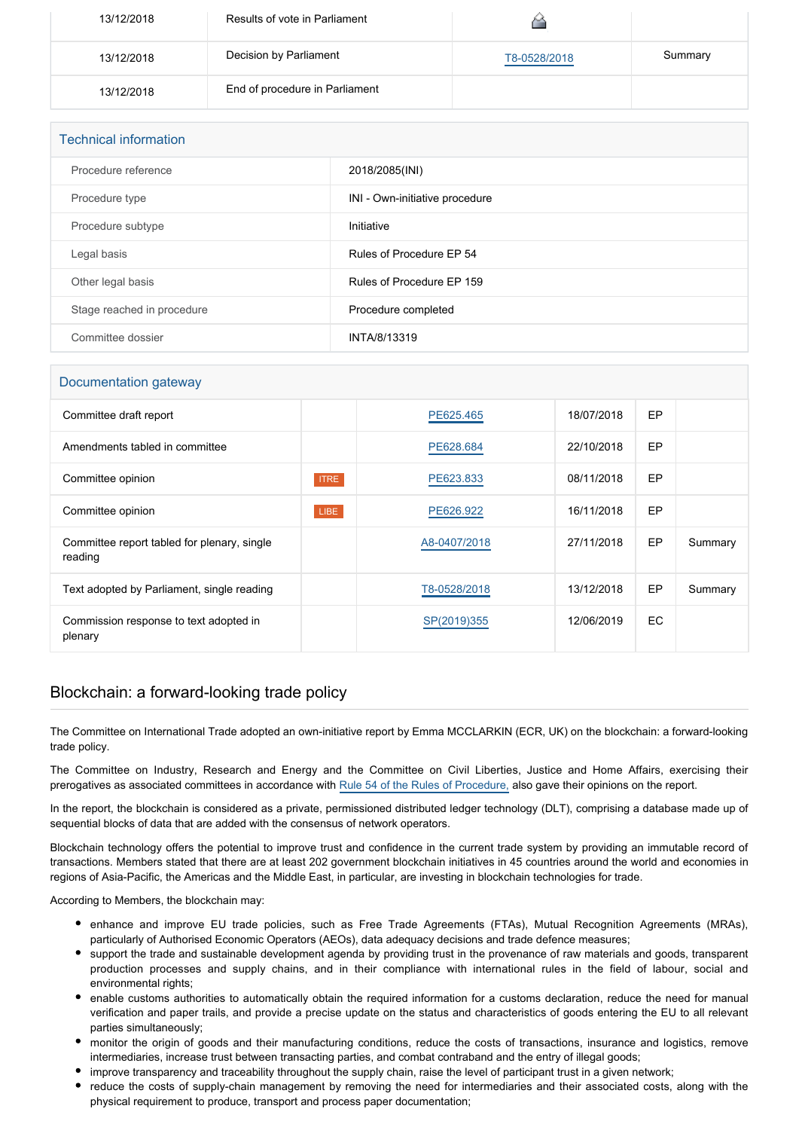| 13/12/2018 | Results of vote in Parliament  |              |         |
|------------|--------------------------------|--------------|---------|
| 13/12/2018 | Decision by Parliament         | T8-0528/2018 | Summary |
| 13/12/2018 | End of procedure in Parliament |              |         |

| <b>Technical information</b> |                                |  |
|------------------------------|--------------------------------|--|
| Procedure reference          | 2018/2085(INI)                 |  |
| Procedure type               | INI - Own-initiative procedure |  |
| Procedure subtype            | Initiative                     |  |
| Legal basis                  | Rules of Procedure EP 54       |  |
| Other legal basis            | Rules of Procedure EP 159      |  |
| Stage reached in procedure   | Procedure completed            |  |
| Committee dossier            | INTA/8/13319                   |  |

### Documentation gateway

| Committee draft report                                 |             | PE625.465    | 18/07/2018 | EP |         |
|--------------------------------------------------------|-------------|--------------|------------|----|---------|
| Amendments tabled in committee                         |             | PE628.684    | 22/10/2018 | EP |         |
| Committee opinion                                      | <b>ITRE</b> | PE623.833    | 08/11/2018 | EP |         |
| Committee opinion                                      | LIBE        | PE626.922    | 16/11/2018 | EP |         |
| Committee report tabled for plenary, single<br>reading |             | A8-0407/2018 | 27/11/2018 | EP | Summary |
| Text adopted by Parliament, single reading             |             | T8-0528/2018 | 13/12/2018 | EP | Summary |
| Commission response to text adopted in<br>plenary      |             | SP(2019)355  | 12/06/2019 | EC |         |

## Blockchain: a forward-looking trade policy

The Committee on International Trade adopted an own-initiative report by Emma MCCLARKIN (ECR, UK) on the blockchain: a forward-looking trade policy.

The Committee on Industry, Research and Energy and the Committee on Civil Liberties, Justice and Home Affairs, exercising their prerogatives as associated committees in accordance with [Rule 54 of the Rules of Procedure,](http://www.europarl.europa.eu/sides/getDoc.do?pubRef=-//EP//TEXT+RULES-EP+20140701+RULE-054+DOC+XML+V0//EN&navigationBar=YES) also gave their opinions on the report.

In the report, the blockchain is considered as a private, permissioned distributed ledger technology (DLT), comprising a database made up of sequential blocks of data that are added with the consensus of network operators.

Blockchain technology offers the potential to improve trust and confidence in the current trade system by providing an immutable record of transactions. Members stated that there are at least 202 government blockchain initiatives in 45 countries around the world and economies in regions of Asia-Pacific, the Americas and the Middle East, in particular, are investing in blockchain technologies for trade.

According to Members, the blockchain may:

- enhance and improve EU trade policies, such as Free Trade Agreements (FTAs), Mutual Recognition Agreements (MRAs), particularly of Authorised Economic Operators (AEOs), data adequacy decisions and trade defence measures;
- support the trade and sustainable development agenda by providing trust in the provenance of raw materials and goods, transparent production processes and supply chains, and in their compliance with international rules in the field of labour, social and environmental rights:
- enable customs authorities to automatically obtain the required information for a customs declaration, reduce the need for manual verification and paper trails, and provide a precise update on the status and characteristics of goods entering the EU to all relevant parties simultaneously;
- monitor the origin of goods and their manufacturing conditions, reduce the costs of transactions, insurance and logistics, remove intermediaries, increase trust between transacting parties, and combat contraband and the entry of illegal goods;
- improve transparency and traceability throughout the supply chain, raise the level of participant trust in a given network;
- reduce the costs of supply-chain management by removing the need for intermediaries and their associated costs, along with the physical requirement to produce, transport and process paper documentation;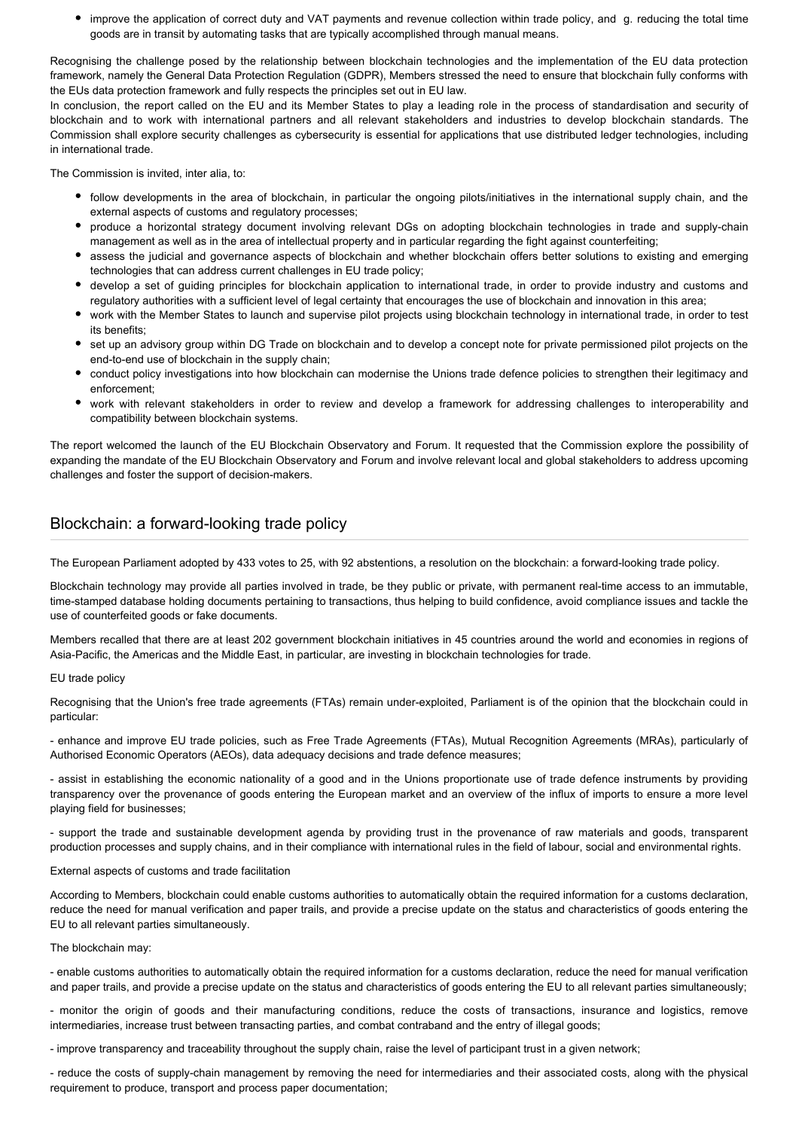improve the application of correct duty and VAT payments and revenue collection within trade policy, and g. reducing the total time goods are in transit by automating tasks that are typically accomplished through manual means.

Recognising the challenge posed by the relationship between blockchain technologies and the implementation of the EU data protection framework, namely the General Data Protection Regulation (GDPR), Members stressed the need to ensure that blockchain fully conforms with the EUs data protection framework and fully respects the principles set out in EU law.

In conclusion, the report called on the EU and its Member States to play a leading role in the process of standardisation and security of blockchain and to work with international partners and all relevant stakeholders and industries to develop blockchain standards. The Commission shall explore security challenges as cybersecurity is essential for applications that use distributed ledger technologies, including in international trade.

The Commission is invited, inter alia, to:

- follow developments in the area of blockchain, in particular the ongoing pilots/initiatives in the international supply chain, and the external aspects of customs and regulatory processes;
- produce a horizontal strategy document involving relevant DGs on adopting blockchain technologies in trade and supply-chain management as well as in the area of intellectual property and in particular regarding the fight against counterfeiting;
- assess the judicial and governance aspects of blockchain and whether blockchain offers better solutions to existing and emerging technologies that can address current challenges in EU trade policy;
- develop a set of guiding principles for blockchain application to international trade, in order to provide industry and customs and regulatory authorities with a sufficient level of legal certainty that encourages the use of blockchain and innovation in this area;
- work with the Member States to launch and supervise pilot projects using blockchain technology in international trade, in order to test its benefits;
- set up an advisory group within DG Trade on blockchain and to develop a concept note for private permissioned pilot projects on the end-to-end use of blockchain in the supply chain;
- conduct policy investigations into how blockchain can modernise the Unions trade defence policies to strengthen their legitimacy and enforcement;
- work with relevant stakeholders in order to review and develop a framework for addressing challenges to interoperability and compatibility between blockchain systems.

The report welcomed the launch of the EU Blockchain Observatory and Forum. It requested that the Commission explore the possibility of expanding the mandate of the EU Blockchain Observatory and Forum and involve relevant local and global stakeholders to address upcoming challenges and foster the support of decision-makers.

## Blockchain: a forward-looking trade policy

The European Parliament adopted by 433 votes to 25, with 92 abstentions, a resolution on the blockchain: a forward-looking trade policy.

Blockchain technology may provide all parties involved in trade, be they public or private, with permanent real-time access to an immutable, time-stamped database holding documents pertaining to transactions, thus helping to build confidence, avoid compliance issues and tackle the use of counterfeited goods or fake documents.

Members recalled that there are at least 202 government blockchain initiatives in 45 countries around the world and economies in regions of Asia-Pacific, the Americas and the Middle East, in particular, are investing in blockchain technologies for trade.

#### EU trade policy

Recognising that the Union's free trade agreements (FTAs) remain under-exploited, Parliament is of the opinion that the blockchain could in particular:

- enhance and improve EU trade policies, such as Free Trade Agreements (FTAs), Mutual Recognition Agreements (MRAs), particularly of Authorised Economic Operators (AEOs), data adequacy decisions and trade defence measures;

- assist in establishing the economic nationality of a good and in the Unions proportionate use of trade defence instruments by providing transparency over the provenance of goods entering the European market and an overview of the influx of imports to ensure a more level playing field for businesses;

- support the trade and sustainable development agenda by providing trust in the provenance of raw materials and goods, transparent production processes and supply chains, and in their compliance with international rules in the field of labour, social and environmental rights.

#### External aspects of customs and trade facilitation

According to Members, blockchain could enable customs authorities to automatically obtain the required information for a customs declaration, reduce the need for manual verification and paper trails, and provide a precise update on the status and characteristics of goods entering the EU to all relevant parties simultaneously.

#### The blockchain may:

- enable customs authorities to automatically obtain the required information for a customs declaration, reduce the need for manual verification and paper trails, and provide a precise update on the status and characteristics of goods entering the EU to all relevant parties simultaneously;

- monitor the origin of goods and their manufacturing conditions, reduce the costs of transactions, insurance and logistics, remove intermediaries, increase trust between transacting parties, and combat contraband and the entry of illegal goods;

- improve transparency and traceability throughout the supply chain, raise the level of participant trust in a given network;

- reduce the costs of supply-chain management by removing the need for intermediaries and their associated costs, along with the physical requirement to produce, transport and process paper documentation;